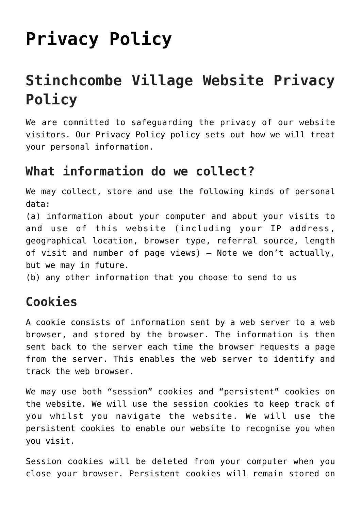# **[Privacy Policy](https://stinchcombepc.co.uk/privacy-policy/)**

# **Stinchcombe Village Website Privacy Policy**

We are committed to safeguarding the privacy of our website visitors. Our Privacy Policy policy sets out how we will treat your personal information.

#### **What information do we collect?**

We may collect, store and use the following kinds of personal data:

(a) information about your computer and about your visits to and use of this website (including your IP address, geographical location, browser type, referral source, length of visit and number of page views) – Note we don't actually, but we may in future.

(b) any other information that you choose to send to us

#### **Cookies**

A cookie consists of information sent by a web server to a web browser, and stored by the browser. The information is then sent back to the server each time the browser requests a page from the server. This enables the web server to identify and track the web browser.

We may use both "session" cookies and "persistent" cookies on the website. We will use the session cookies to keep track of you whilst you navigate the website. We will use the persistent cookies to enable our website to recognise you when you visit.

Session cookies will be deleted from your computer when you close your browser. Persistent cookies will remain stored on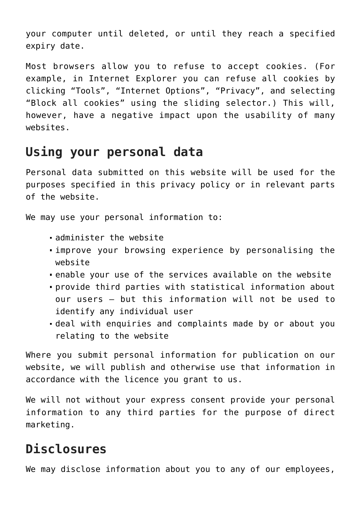your computer until deleted, or until they reach a specified expiry date.

Most browsers allow you to refuse to accept cookies. (For example, in Internet Explorer you can refuse all cookies by clicking "Tools", "Internet Options", "Privacy", and selecting "Block all cookies" using the sliding selector.) This will, however, have a negative impact upon the usability of many websites.

#### **Using your personal data**

Personal data submitted on this website will be used for the purposes specified in this privacy policy or in relevant parts of the website.

We may use your personal information to:

- administer the website
- improve your browsing experience by personalising the website
- enable your use of the services available on the website
- provide third parties with statistical information about our users – but this information will not be used to identify any individual user
- deal with enquiries and complaints made by or about you relating to the website

Where you submit personal information for publication on our website, we will publish and otherwise use that information in accordance with the licence you grant to us.

We will not without your express consent provide your personal information to any third parties for the purpose of direct marketing.

## **Disclosures**

We may disclose information about you to any of our employees,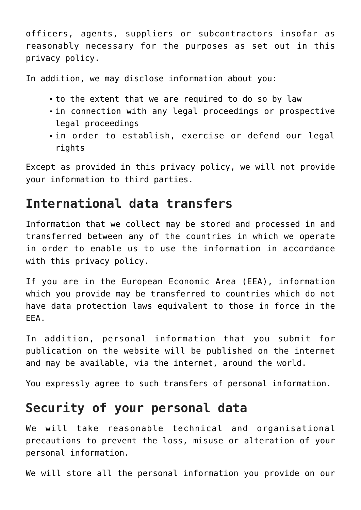officers, agents, suppliers or subcontractors insofar as reasonably necessary for the purposes as set out in this privacy policy.

In addition, we may disclose information about you:

- to the extent that we are required to do so by law
- In connection with any legal proceedings or prospective legal proceedings
- in order to establish, exercise or defend our legal rights

Except as provided in this privacy policy, we will not provide your information to third parties.

#### **International data transfers**

Information that we collect may be stored and processed in and transferred between any of the countries in which we operate in order to enable us to use the information in accordance with this privacy policy.

If you are in the European Economic Area (EEA), information which you provide may be transferred to countries which do not have data protection laws equivalent to those in force in the EEA.

In addition, personal information that you submit for publication on the website will be published on the internet and may be available, via the internet, around the world.

You expressly agree to such transfers of personal information.

#### **Security of your personal data**

We will take reasonable technical and organisational precautions to prevent the loss, misuse or alteration of your personal information.

We will store all the personal information you provide on our